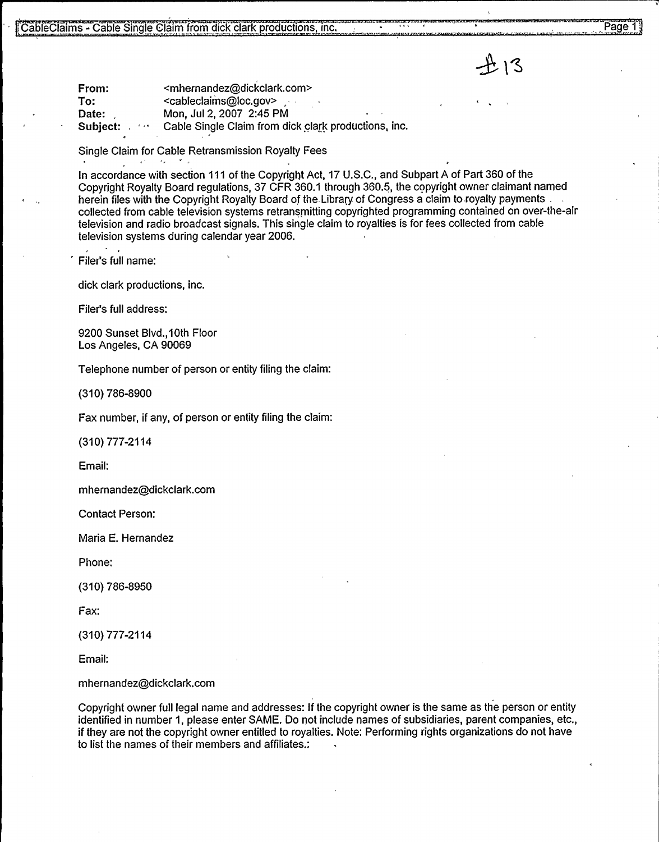<mhernandez@dickclark.com><br><cableclaims@loc.gov> Date: Mon, Jul 2, 2007 2:45 PM<br>Subiect: etc. Cable Single Claim from di Cable Single Claim from dick clark productions, inc.

Single Claim for Cable Retransmission Royalty Fees

1. Cable Single Claim from dick clark productions, inc.<br>
1. To:<br>
1. Thermandez@dickclark.com><br>
1. To:<br>
2. Cableclaims@loc.gov<br>
2. Mon, Jul 2, 2007 2:45 PM<br>
2. Subject:<br>
2. Mon, Jul 2, 2007 2:45 PM<br>
2. Subject:<br>
2. Cable S In accordance with section 111 of the Copyright Act, 17 U.S.C., and Subpart A of Part 360 of the Copyright Royalty Board regulations, 37 CFR 360.1 through 360.5, the copyright owner claimant named herein files with the Copyright Royalty Board of the Library of Congress a claim to royalty payments, collected from cable television systems retransmitting copyrighted programming contained on over-the-air television and radio broadcast signals. This single claim to royalties is for fees collected from cable television systems during calendar year 2006.

Filer's full name:

dick clark productions, inc.

Filer's full address:

9200 Sunset Blvd.,10th Floor Los Angeles, CA 90069

Telephone number of person or entity filing the claim:

(310) 786-8900

Fax number, if any, of person or entity filing the claim:

(310) 777-2114

Email:

mhernandez@dickclark.com

Contact Person:

Maria E. Hernandez

Phone:

(310) 786-8950

Fax:

(310) 777-2114

Email:

mhernandez@dickclark.corn

Copyright owner full legal name and addresses: If the copyright owner is the same as the person or entity identified in number 1, please enter SAME. Do not include names of subsidiaries, parent companies, etc., if they are not the copyright owner entitled to royalties. Note: Performing rights organizations do not have to list the names of their members and affiliates.: